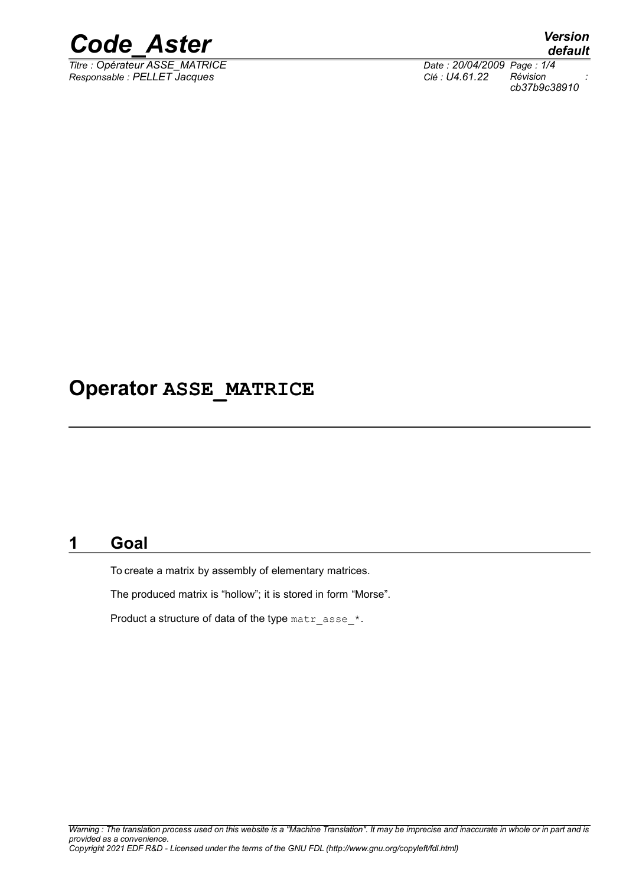

*Titre : Opérateur ASSE\_MATRICE Date : 20/04/2009 Page : 1/4 Responsable : PELLET Jacques Clé : U4.61.22 Révision :*

*default cb37b9c38910*

### **Operator ASSE\_MATRICE**

#### **1 Goal**

To create a matrix by assembly of elementary matrices.

The produced matrix is "hollow"; it is stored in form "Morse".

Product a structure of data of the type matr asse  $*$ .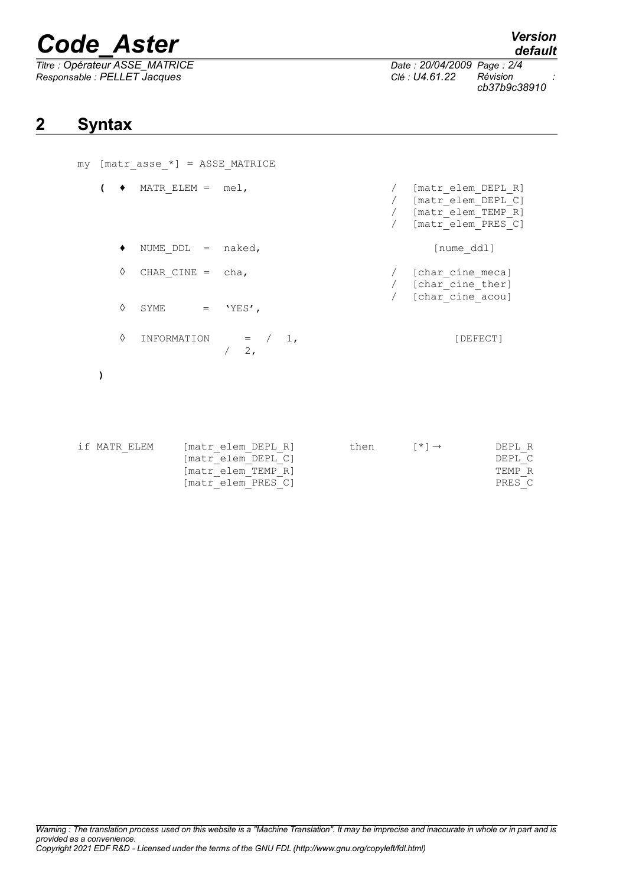# *Code\_Aster Version*

*Titre : Opérateur ASSE\_MATRICE Date : 20/04/2009 Page : 2/4 Responsable : PELLET Jacques Clé : U4.61.22 Révision :*

*cb37b9c38910*

### **2 Syntax**

| my [matr asse *] = ASSE MATRICE |   |                            |                                          |  |                                    |  |                                                                                            |                  |
|---------------------------------|---|----------------------------|------------------------------------------|--|------------------------------------|--|--------------------------------------------------------------------------------------------|------------------|
|                                 |   | $\bullet$ MATR ELEM = mel, |                                          |  |                                    |  | [matr elem DEPL R]<br>/ [matr elem DEPL C]<br>/ [matr elem TEMP R]<br>/ [matr elem PRES C] |                  |
|                                 |   | NUME $DDL = naked,$        |                                          |  |                                    |  | [nume ddl]                                                                                 |                  |
|                                 | ♦ | CHAR CINE = $cha,$         |                                          |  |                                    |  | / [char cine meca]<br>/ [char cine ther]<br>/ [char cine acou]                             |                  |
|                                 | ♦ | SYME = $'YES'$ ,           |                                          |  |                                    |  |                                                                                            |                  |
|                                 | ♦ |                            | INFORMATION = $/ 1,$<br>$/2$ ,           |  |                                    |  | [DEFECT]                                                                                   |                  |
|                                 |   |                            |                                          |  |                                    |  |                                                                                            |                  |
|                                 |   | if MATR ELEM               | [matr elem DEPL R]<br>[matr elem DEPL C] |  | then $\lceil * \rceil \rightarrow$ |  |                                                                                            | DEPL R<br>DEPL C |

 $[matrix$  $-$ elem $-$ PRES $C$ ]

[matr\_elem\_TEMP\_R] TEMP\_R<br>[matr\_elem\_PRES\_C] FRES\_C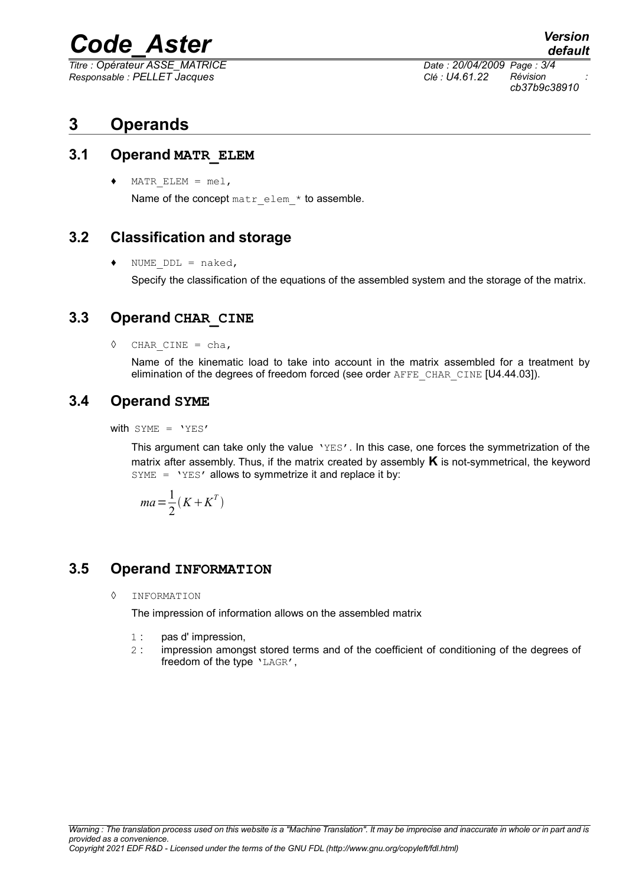# *Code\_Aster Version*

*Titre : Opérateur ASSE\_MATRICE Date : 20/04/2009 Page : 3/4 Responsable : PELLET Jacques Clé : U4.61.22 Révision :*

*default cb37b9c38910*

### **3 Operands**

#### **3.1 Operand MATR\_ELEM**

MATR ELEM =  $me1,$ Name of the concept matr elem \* to assemble.

#### **3.2 Classification and storage**

 $\bullet$  NUME DDL = naked,

Specify the classification of the equations of the assembled system and the storage of the matrix.

#### **3.3 Operand CHAR\_CINE**

 $\Diamond$  CHAR CINE = cha,

Name of the kinematic load to take into account in the matrix assembled for a treatment by elimination of the degrees of freedom forced (see order AFFE\_CHAR\_CINE [U4.44.03]).

#### **3.4 Operand SYME**

with  $SYME = YYES'$ 

This argument can take only the value 'YES'. In this case, one forces the symmetrization of the matrix after assembly. Thus, if the matrix created by assembly **K** is not-symmetrical, the keyword  $SYME = YYES'$  allows to symmetrize it and replace it by:

$$
ma = \frac{1}{2}(K + K^T)
$$

#### **3.5 Operand INFORMATION**

◊ INFORMATION

The impression of information allows on the assembled matrix

- 1 : pas d' impression,
- 2 : impression amongst stored terms and of the coefficient of conditioning of the degrees of freedom of the type 'LAGR',